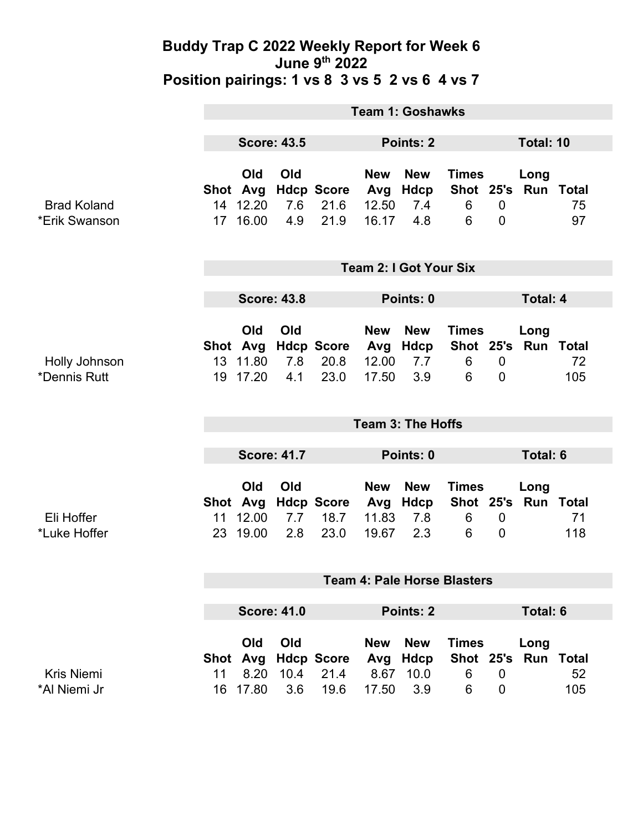#### **Buddy Trap C 2022 Weekly Report for Week 6 June 9th 2022 Position pairings: 1 vs 8 3 vs 5 2 vs 6 4 vs 7**

|                                     | <b>Team 1: Goshawks</b>       |                                               |                   |                                   |                                     |                                                |                                     |                               |                                      |                               |
|-------------------------------------|-------------------------------|-----------------------------------------------|-------------------|-----------------------------------|-------------------------------------|------------------------------------------------|-------------------------------------|-------------------------------|--------------------------------------|-------------------------------|
|                                     | <b>Score: 43.5</b>            |                                               | Points: 2         |                                   |                                     |                                                |                                     | Total: 10                     |                                      |                               |
| <b>Brad Koland</b><br>*Erik Swanson | Shot Avg<br>14                | Old<br>12.20<br>17 16.00                      | Old<br>7.6<br>4.9 | <b>Hdcp Score</b><br>21.6<br>21.9 | <b>New</b><br>Avg<br>12.50<br>16.17 | <b>New</b><br>Hdcp<br>7.4<br>4.8               | <b>Times</b><br>6<br>6              | $\mathbf 0$<br>$\mathbf 0$    | Long<br>Shot 25's Run Total          | 75<br>97                      |
|                                     | <b>Team 2: I Got Your Six</b> |                                               |                   |                                   |                                     |                                                |                                     |                               |                                      |                               |
|                                     | <b>Score: 43.8</b>            |                                               |                   |                                   | Points: 0                           |                                                |                                     |                               | <b>Total: 4</b>                      |                               |
| Holly Johnson<br>*Dennis Rutt       |                               | Old<br>Shot Avg<br>13 11.80<br>19 17.20       | Old<br>7.8<br>4.1 | <b>Hdcp Score</b><br>20.8<br>23.0 | <b>New</b><br>Avg<br>12.00<br>17.50 | <b>New</b><br>Hdcp<br>7.7<br>3.9               | <b>Times</b><br>6<br>6              | $\mathbf 0$<br>$\overline{0}$ | Long<br>Shot 25's Run Total          | 72<br>105                     |
|                                     | <b>Team 3: The Hoffs</b>      |                                               |                   |                                   |                                     |                                                |                                     |                               |                                      |                               |
|                                     | <b>Score: 41.7</b>            |                                               |                   |                                   | Points: 0                           |                                                |                                     |                               | Total: 6                             |                               |
|                                     |                               |                                               |                   |                                   |                                     |                                                |                                     |                               |                                      |                               |
| Eli Hoffer<br>*Luke Hoffer          | 11                            | <b>Old</b><br>Shot Avg<br>12.00<br>23 19.00   | Old<br>7.7<br>2.8 | <b>Hdcp Score</b><br>18.7<br>23.0 | <b>New</b><br>Avg<br>11.83<br>19.67 | <b>New</b><br>Hdcp<br>7.8<br>2.3               | <b>Times</b><br>Shot 25's<br>6<br>6 | $\mathbf 0$<br>$\mathbf 0$    | Long                                 | <b>Run Total</b><br>71<br>118 |
|                                     |                               |                                               |                   |                                   |                                     | <b>Team 4: Pale Horse Blasters</b>             |                                     |                               |                                      |                               |
|                                     |                               |                                               |                   |                                   |                                     |                                                |                                     |                               |                                      |                               |
| <b>Kris Niemi</b>                   | 11                            | <b>Score: 41.0</b><br>Old<br>Shot Avg<br>8.20 | Old<br>10.4       | <b>Hdcp Score</b><br>21.4         | <b>New</b><br>Avg<br>8.67           | Points: 2<br><b>New</b><br><b>Hdcp</b><br>10.0 | <b>Times</b><br>Shot 25's<br>6      | $\overline{0}$                | <b>Total: 6</b><br>Long<br>Run Total | 52                            |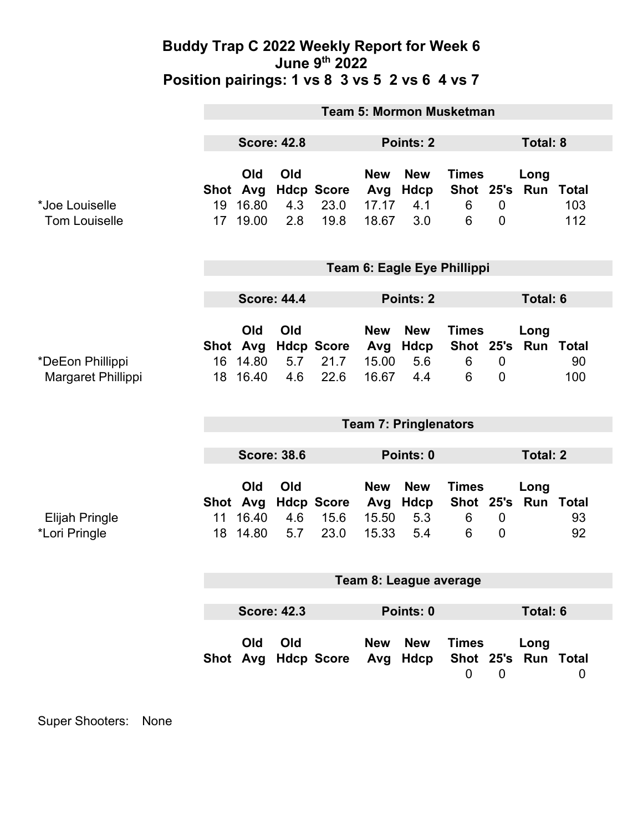### **Buddy Trap C 2022 Weekly Report for Week 6 June 9th 2022 Position pairings: 1 vs 8 3 vs 5 2 vs 6 4 vs 7**

|                       | <b>Team 5: Mormon Musketman</b> |                 |     |                           |                   |                    |                           |                  |                       |                    |
|-----------------------|---------------------------------|-----------------|-----|---------------------------|-------------------|--------------------|---------------------------|------------------|-----------------------|--------------------|
|                       | <b>Score: 42.8</b>              |                 |     | Points: 2                 |                   |                    |                           |                  | <b>Total: 8</b>       |                    |
|                       |                                 |                 |     |                           |                   |                    |                           |                  |                       |                    |
|                       | Shot                            | Old<br>Avg      | Old | <b>Hdcp Score</b>         | <b>New</b><br>Avg | <b>New</b><br>Hdcp | <b>Times</b><br>Shot 25's |                  | Long<br>Run           | <b>Total</b>       |
| *Joe Louiselle        | 19                              | 16.80           | 4.3 | 23.0                      | 17.17             | 4.1                | 6                         | $\mathbf 0$      |                       | 103                |
| <b>Tom Louiselle</b>  | 17 <sup>17</sup>                | 19.00           | 2.8 | 19.8                      | 18.67             | 3.0                | 6                         | $\overline{0}$   |                       | 112                |
|                       |                                 |                 |     |                           |                   |                    |                           |                  |                       |                    |
|                       | Team 6: Eagle Eye Phillippi     |                 |     |                           |                   |                    |                           |                  |                       |                    |
|                       | <b>Score: 44.4</b>              |                 |     | Points: 2                 |                   |                    | <b>Total: 6</b>           |                  |                       |                    |
|                       |                                 |                 |     |                           |                   |                    |                           |                  |                       |                    |
|                       |                                 | Old<br>Shot Avg | Old | <b>Hdcp Score</b>         | <b>New</b><br>Avg | <b>New</b><br>Hdcp | <b>Times</b>              |                  | Long<br>Shot 25's Run | <b>Total</b>       |
| *DeEon Phillippi      | 16                              | 14.80           | 5.7 | 21.7                      | 15.00             | 5.6                | 6                         | $\mathbf 0$      |                       | 90                 |
| Margaret Phillippi    | 18                              | 16.40           | 4.6 | 22.6                      | 16.67             | 4.4                | 6                         | $\mathbf 0$      |                       | 100                |
|                       |                                 |                 |     |                           |                   |                    |                           |                  |                       |                    |
|                       | <b>Team 7: Pringlenators</b>    |                 |     |                           |                   |                    |                           |                  |                       |                    |
|                       | <b>Score: 38.6</b>              |                 |     | Points: 0                 |                   |                    |                           | <b>Total: 2</b>  |                       |                    |
|                       |                                 |                 |     |                           |                   |                    |                           |                  |                       |                    |
|                       |                                 | Old             | Old |                           | <b>New</b>        | <b>New</b>         | <b>Times</b>              |                  | Long                  |                    |
| <b>Elijah Pringle</b> | Shot Avg<br>11                  | 16.40           | 4.6 | <b>Hdcp Score</b><br>15.6 | Avg<br>15.50      | Hdcp<br>5.3        | Shot 25's<br>6            | $\boldsymbol{0}$ | Run                   | <b>Total</b><br>93 |
| *Lori Pringle         |                                 | 18 14.80        | 5.7 | 23.0                      | 15.33             | 5.4                | 6                         | $\overline{0}$   |                       | 92                 |
|                       |                                 |                 |     |                           |                   |                    |                           |                  |                       |                    |
|                       | Team 8: League average          |                 |     |                           |                   |                    |                           |                  |                       |                    |
|                       |                                 |                 |     |                           |                   |                    |                           |                  |                       |                    |
|                       | <b>Score: 42.3</b>              |                 |     | Points: 0                 |                   |                    |                           |                  | <b>Total: 6</b>       |                    |
|                       |                                 | Old             | Old |                           | <b>New</b>        | <b>New</b>         | <b>Times</b>              |                  | Long                  |                    |
|                       |                                 |                 |     | Shot Avg Hdcp Score       |                   | Avg Hdcp           |                           |                  | Shot 25's Run Total   |                    |
|                       |                                 |                 |     |                           |                   |                    | $\mathbf 0$               | $\overline{0}$   |                       | $\mathbf 0$        |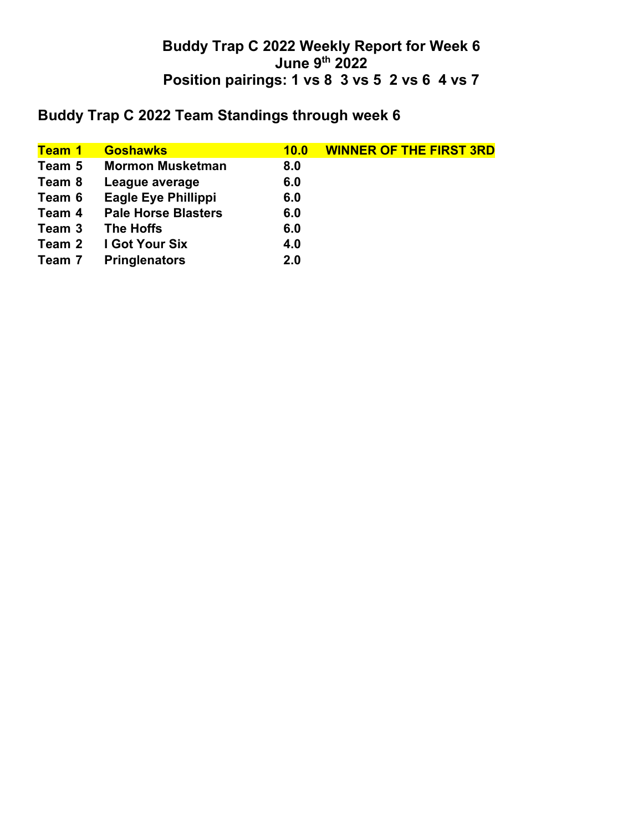## **Buddy Trap C 2022 Weekly Report for Week 6 June 9th 2022 Position pairings: 1 vs 8 3 vs 5 2 vs 6 4 vs 7**

# **Buddy Trap C 2022 Team Standings through week 6**

| Team 1 | <b>Goshawks</b>            | 10.0 | <b>WINNER OF THE FIRST 3RD</b> |
|--------|----------------------------|------|--------------------------------|
| Team 5 | <b>Mormon Musketman</b>    | 8.0  |                                |
| Team 8 | League average             | 6.0  |                                |
| Team 6 | <b>Eagle Eye Phillippi</b> | 6.0  |                                |
| Team 4 | <b>Pale Horse Blasters</b> | 6.0  |                                |
| Team 3 | The Hoffs                  | 6.0  |                                |
| Team 2 | I Got Your Six             | 4.0  |                                |
| Team 7 | <b>Pringlenators</b>       | 2.0  |                                |